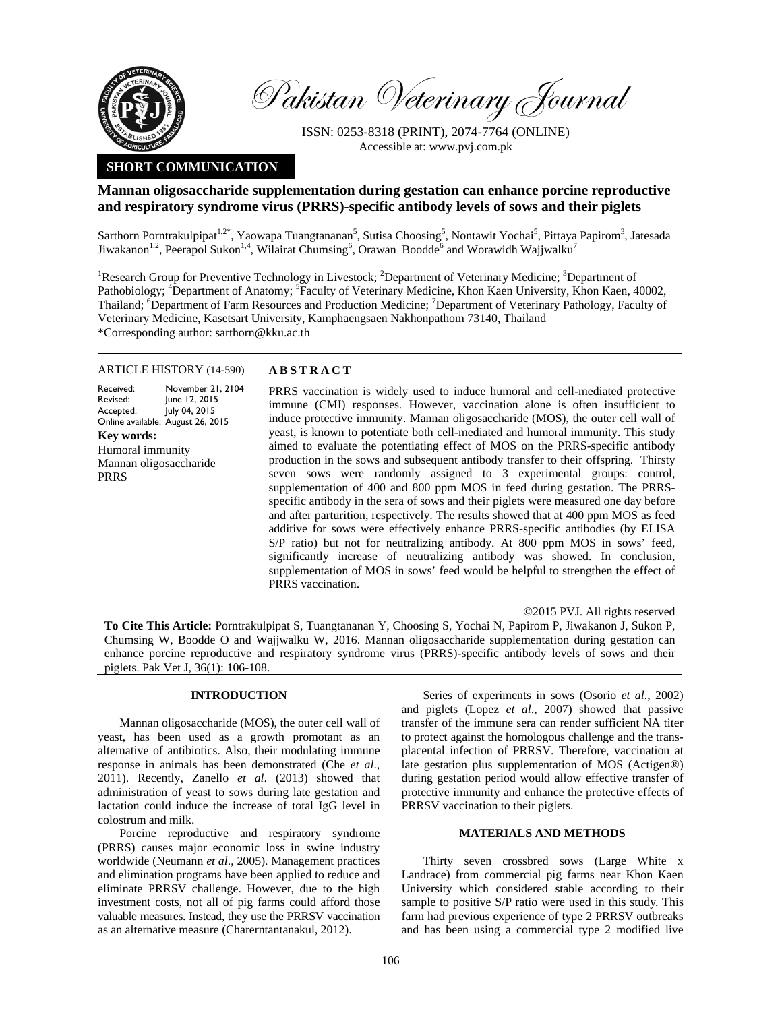

Pakistan Veterinary Journal

ISSN: 0253-8318 (PRINT), 2074-7764 (ONLINE) Accessible at: www.pvj.com.pk

# **SHORT COMMUNICATION**

# **Mannan oligosaccharide supplementation during gestation can enhance porcine reproductive and respiratory syndrome virus (PRRS)-specific antibody levels of sows and their piglets**

Sarthorn Porntrakulpipat<sup>1,2\*</sup>, Yaowapa Tuangtananan<sup>5</sup>, Sutisa Choosing<sup>5</sup>, Nontawit Yochai<sup>5</sup>, Pittaya Papirom<sup>3</sup>, Jatesada Jiwakanon<sup>1,2</sup>, Peerapol Sukon<sup>1,4</sup>, Wilairat Chumsing<sup>6</sup>, Orawan Boodde<sup>6</sup> and Worawidh Wajjwalku<sup>7</sup>

<sup>1</sup>Research Group for Preventive Technology in Livestock; <sup>2</sup>Department of Veterinary Medicine; <sup>3</sup>Department of Pathobiology; <sup>4</sup>Department of Anatomy; <sup>5</sup>Faculty of Veterinary Medicine, Khon Kaen University, Khon Kaen, 40002, Thailand; Department of Farm Resources and Production Medicine; <sup>7</sup>Department of Veterinary Pathology, Faculty of Veterinary Medicine, Kasetsart University, Kamphaengsaen Nakhonpathom 73140, Thailand \*Corresponding author: sarthorn@kku.ac.th

#### ARTICLE HISTORY (14-590) **ABSTRACT**

Received: Revised: Accepted: Online available: August 26, 2015 November 21, 2104 June 12, 2015 July 04, 2015 **Key words:**  Humoral immunity Mannan oligosaccharide PRRS

 PRRS vaccination is widely used to induce humoral and cell-mediated protective immune (CMI) responses. However, vaccination alone is often insufficient to induce protective immunity. Mannan oligosaccharide (MOS), the outer cell wall of yeast, is known to potentiate both cell-mediated and humoral immunity. This study aimed to evaluate the potentiating effect of MOS on the PRRS-specific antibody production in the sows and subsequent antibody transfer to their offspring. Thirsty seven sows were randomly assigned to 3 experimental groups: control, supplementation of 400 and 800 ppm MOS in feed during gestation. The PRRSspecific antibody in the sera of sows and their piglets were measured one day before and after parturition, respectively. The results showed that at 400 ppm MOS as feed additive for sows were effectively enhance PRRS-specific antibodies (by ELISA S/P ratio) but not for neutralizing antibody. At 800 ppm MOS in sows' feed, significantly increase of neutralizing antibody was showed. In conclusion, supplementation of MOS in sows' feed would be helpful to strengthen the effect of PRRS vaccination.

©2015 PVJ. All rights reserved

**To Cite This Article:** Porntrakulpipat S, Tuangtananan Y, Choosing S, Yochai N, Papirom P, Jiwakanon J, Sukon P, Chumsing W, Boodde O and Wajjwalku W, 2016. Mannan oligosaccharide supplementation during gestation can enhance porcine reproductive and respiratory syndrome virus (PRRS)-specific antibody levels of sows and their piglets. Pak Vet J, 36(1): 106-108.

## **INTRODUCTION**

Mannan oligosaccharide (MOS), the outer cell wall of yeast, has been used as a growth promotant as an alternative of antibiotics. Also, their modulating immune response in animals has been demonstrated (Che *et al*., 2011). Recently, Zanello *et al*. (2013) showed that administration of yeast to sows during late gestation and lactation could induce the increase of total IgG level in colostrum and milk.

Porcine reproductive and respiratory syndrome (PRRS) causes major economic loss in swine industry worldwide (Neumann *et al*., 2005). Management practices and elimination programs have been applied to reduce and eliminate PRRSV challenge. However, due to the high investment costs, not all of pig farms could afford those valuable measures. Instead, they use the PRRSV vaccination as an alternative measure (Charerntantanakul, 2012).

Series of experiments in sows (Osorio *et al*., 2002) and piglets (Lopez *et al*., 2007) showed that passive transfer of the immune sera can render sufficient NA titer to protect against the homologous challenge and the transplacental infection of PRRSV. Therefore, vaccination at late gestation plus supplementation of MOS (Actigen®) during gestation period would allow effective transfer of protective immunity and enhance the protective effects of PRRSV vaccination to their piglets.

### **MATERIALS AND METHODS**

Thirty seven crossbred sows (Large White x Landrace) from commercial pig farms near Khon Kaen University which considered stable according to their sample to positive S/P ratio were used in this study. This farm had previous experience of type 2 PRRSV outbreaks and has been using a commercial type 2 modified live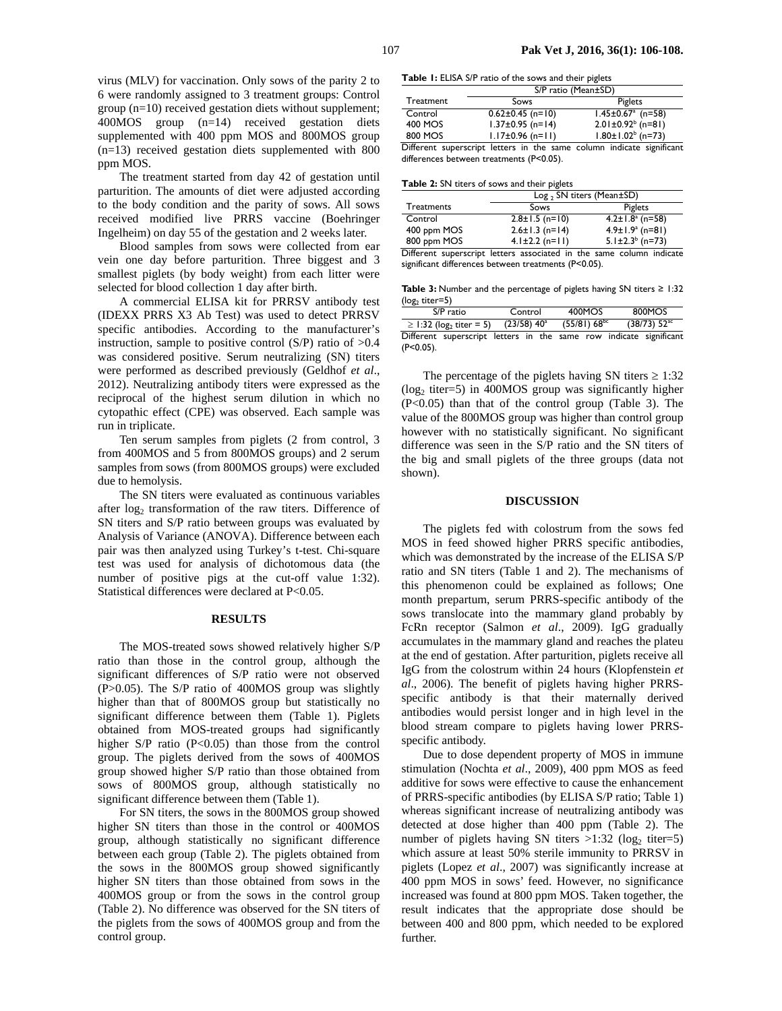virus (MLV) for vaccination. Only sows of the parity 2 to 6 were randomly assigned to 3 treatment groups: Control group (n=10) received gestation diets without supplement; 400MOS group (n=14) received gestation diets supplemented with 400 ppm MOS and 800MOS group (n=13) received gestation diets supplemented with 800 ppm MOS.

The treatment started from day 42 of gestation until parturition. The amounts of diet were adjusted according to the body condition and the parity of sows. All sows received modified live PRRS vaccine (Boehringer Ingelheim) on day 55 of the gestation and 2 weeks later.

Blood samples from sows were collected from ear vein one day before parturition. Three biggest and 3 smallest piglets (by body weight) from each litter were selected for blood collection 1 day after birth.

A commercial ELISA kit for PRRSV antibody test (IDEXX PRRS X3 Ab Test) was used to detect PRRSV specific antibodies. According to the manufacturer's instruction, sample to positive control  $(S/P)$  ratio of  $>0.4$ was considered positive. Serum neutralizing (SN) titers were performed as described previously (Geldhof *et al*., 2012). Neutralizing antibody titers were expressed as the reciprocal of the highest serum dilution in which no cytopathic effect (CPE) was observed. Each sample was run in triplicate.

Ten serum samples from piglets (2 from control, 3 from 400MOS and 5 from 800MOS groups) and 2 serum samples from sows (from 800MOS groups) were excluded due to hemolysis.

The SN titers were evaluated as continuous variables after  $log_2$  transformation of the raw titers. Difference of SN titers and S/P ratio between groups was evaluated by Analysis of Variance (ANOVA). Difference between each pair was then analyzed using Turkey's t-test. Chi-square test was used for analysis of dichotomous data (the number of positive pigs at the cut-off value 1:32). Statistical differences were declared at P<0.05.

#### **RESULTS**

The MOS-treated sows showed relatively higher S/P ratio than those in the control group, although the significant differences of S/P ratio were not observed (P>0.05). The S/P ratio of 400MOS group was slightly higher than that of 800MOS group but statistically no significant difference between them (Table 1). Piglets obtained from MOS-treated groups had significantly higher S/P ratio (P<0.05) than those from the control group. The piglets derived from the sows of 400MOS group showed higher S/P ratio than those obtained from sows of 800MOS group, although statistically no significant difference between them (Table 1).

For SN titers, the sows in the 800MOS group showed higher SN titers than those in the control or 400MOS group, although statistically no significant difference between each group (Table 2). The piglets obtained from the sows in the 800MOS group showed significantly higher SN titers than those obtained from sows in the 400MOS group or from the sows in the control group (Table 2). No difference was observed for the SN titers of the piglets from the sows of 400MOS group and from the control group.

**Table 1:** ELISA S/P ratio of the sows and their piglets

|           | S/P ratio (Mean±SD)    |                                     |  |  |  |  |
|-----------|------------------------|-------------------------------------|--|--|--|--|
| Treatment | Sows                   | Piglets                             |  |  |  |  |
| Control   | $0.62 \pm 0.45$ (n=10) | $1.45 \pm 0.67$ <sup>a</sup> (n=58) |  |  |  |  |
| 400 MOS   | $1.37 \pm 0.95$ (n=14) | $2.01 \pm 0.92^b$ (n=81)            |  |  |  |  |
| 800 MOS   | $1.17 \pm 0.96$ (n=11) | $1.80 \pm 1.02^b$ (n=73)            |  |  |  |  |

Different superscript letters in the same column indicate significant differences between treatments (P<0.05).

**Table 2:** SN titers of sows and their piglets

|                   | $Log_2$ SN titers (Mean $\pm$ SD)                                    |                                   |  |  |  |  |
|-------------------|----------------------------------------------------------------------|-----------------------------------|--|--|--|--|
| <b>Treatments</b> | Sows                                                                 | Piglets                           |  |  |  |  |
| Control           | $2.8 \pm 1.5$ (n=10)                                                 | $4.2 \pm 1.8$ <sup>a</sup> (n=58) |  |  |  |  |
| 400 ppm MOS       | $2.6 \pm 1.3$ (n=14)                                                 | $4.9 \pm 1.9^{\circ}$ (n=81)      |  |  |  |  |
| 800 ppm MOS       | $4.1 \pm 2.2$ (n=11)                                                 | $5.1 \pm 2.3^b$ (n=73)            |  |  |  |  |
|                   | Different superscript letters associated in the same column indicate |                                   |  |  |  |  |

erscript letters associated in the same column indicate significant differences between treatments (P<0.05).

**Table 3:** Number and the percentage of piglets having SN titers ≥ 1:32  $(log<sub>2</sub> titer=5)$ 

| S/P ratio                               |                                                                    | Control                   |  | 400MOS            |  | 800MOS                     |  |  |
|-----------------------------------------|--------------------------------------------------------------------|---------------------------|--|-------------------|--|----------------------------|--|--|
| $\ge$ 1:32 (log <sub>2</sub> titer = 5) |                                                                    | $(23/58)$ 40 <sup>a</sup> |  | $(55/81) 68^{bc}$ |  | $(38/73)$ 52 <sup>ac</sup> |  |  |
|                                         | Different superscript letters in the same row indicate significant |                           |  |                   |  |                            |  |  |
| $(P<0.05)$ .                            |                                                                    |                           |  |                   |  |                            |  |  |

The percentage of the piglets having SN titers  $\geq 1:32$  $(\log_2 t \text{iter}=5)$  in 400MOS group was significantly higher (P<0.05) than that of the control group (Table 3). The value of the 800MOS group was higher than control group however with no statistically significant. No significant difference was seen in the S/P ratio and the SN titers of the big and small piglets of the three groups (data not shown).

#### **DISCUSSION**

The piglets fed with colostrum from the sows fed MOS in feed showed higher PRRS specific antibodies, which was demonstrated by the increase of the ELISA S/P ratio and SN titers (Table 1 and 2). The mechanisms of this phenomenon could be explained as follows; One month prepartum, serum PRRS-specific antibody of the sows translocate into the mammary gland probably by FcRn receptor (Salmon *et al*., 2009). IgG gradually accumulates in the mammary gland and reaches the plateu at the end of gestation. After parturition, piglets receive all IgG from the colostrum within 24 hours (Klopfenstein *et al*., 2006). The benefit of piglets having higher PRRSspecific antibody is that their maternally derived antibodies would persist longer and in high level in the blood stream compare to piglets having lower PRRSspecific antibody.

Due to dose dependent property of MOS in immune stimulation (Nochta *et al*., 2009), 400 ppm MOS as feed additive for sows were effective to cause the enhancement of PRRS-specific antibodies (by ELISA S/P ratio; Table 1) whereas significant increase of neutralizing antibody was detected at dose higher than 400 ppm (Table 2). The number of piglets having SN titers  $>1:32$  (log<sub>2</sub> titer=5) which assure at least 50% sterile immunity to PRRSV in piglets (Lopez *et al*., 2007) was significantly increase at 400 ppm MOS in sows' feed. However, no significance increased was found at 800 ppm MOS. Taken together, the result indicates that the appropriate dose should be between 400 and 800 ppm, which needed to be explored further.